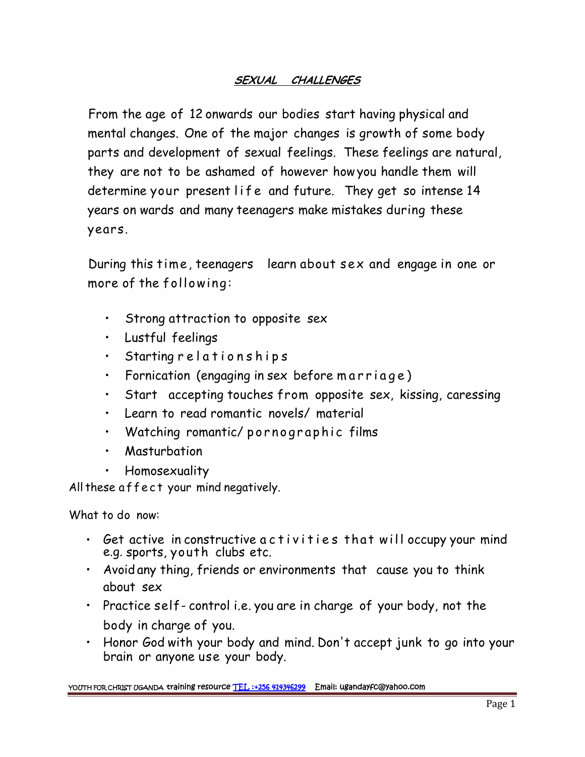## *SEXUAL CHALLENGES*

From the age of 12 onwards our bodies start having physical and mental changes. One of the major changes is growth of some body parts and development of sexual feelings. These feelings are natural, they are not to be ashamed of however howyou handle them will From the age of 12 onwards our bodies start having physical and<br>mental changes. One of the major changes is growth of some body<br>parts and development of sexual feelings. These feelings are natural,<br>they are not to be asham years on wards and many teenagers make mistakes during these years.

During this time, teenagers learn about sex and engage in one or more of the following:

- Strong attraction to opposite sex
- Lustful feelings
- 
- Starting r e l a t i o n s h i p s<br>• Fornication (engaging in sex before m a r r i a g e )
- Strong attraction to opposite sex<br>• Lustful feelings<br>• Starting r e l a t i o n s h i p s<br>• Fornication (engaging in sex before m a r ri a g e)<br>• Start accepting touches from opposite sex, kissing, caressing • Siaring relationships<br>• Fornication (engaging in sex before marriage)<br>• Start accepting touches from opposite sex, kissing<br>• Learn to read romantic novels/ material<br>• Watching romantic/pornographic films<br>• Masturbation
- Learn to read romantic novels/ material
- Watching romantic/ pornographic films<br>• Masturbation<br>• Homosexuality<br>All these a f f e c t your mind negatively.
	- Masturbation
	- Homosexuality

What to do now:

- Homosexuality<br>these affect your mind negatively.<br>• Get active in constructive a c tivities that will occupy your mind<br>e.g. sports, youth clubs etc. e.g. sports, youth clubs etc.
- Avoid any thing, friends or environments that cause you to think about sex
- Practice self- control i.e. you are in charge of your body, not the body in charge of you.
- Honor God with your body and mind. Don't accept junk to go into your brain or anyone use your body.